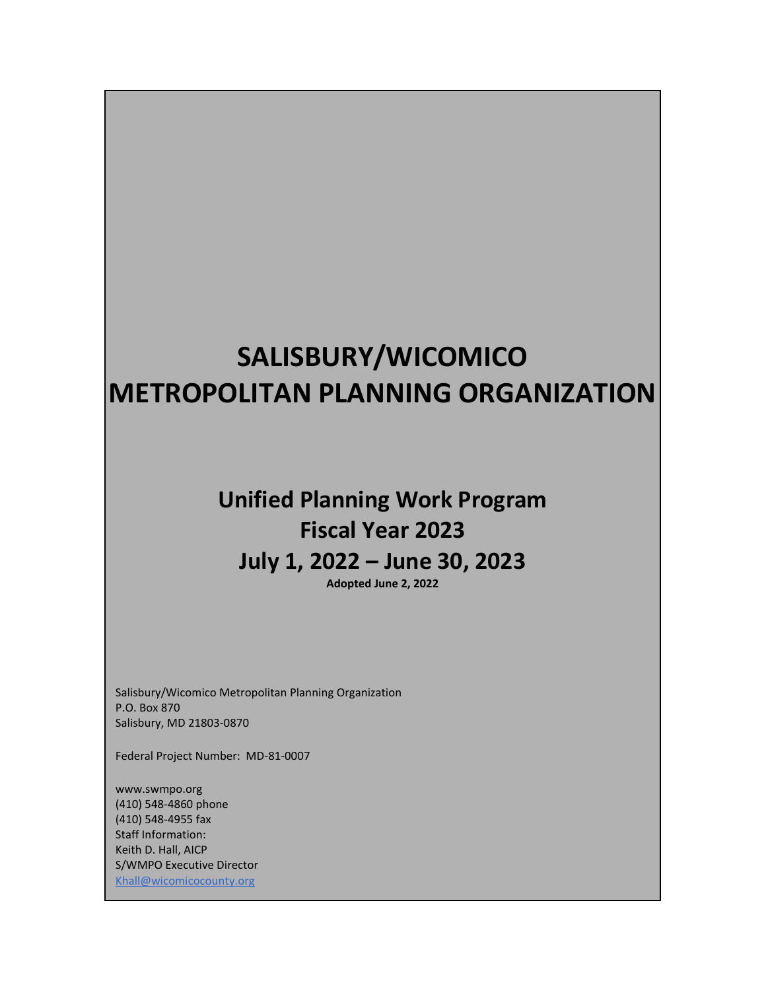# **SALISBURY/WICOMICO METROPOLITAN PLANNING ORGANIZATION**

# **Unified Planning Work Program Fiscal Year 2023 July 1, 2022 – June 30, 2023**

**Adopted June 2, 2022**

 Salisbury, MD 21803-0870 Salisbury/Wicomico Metropolitan Planning Organization P.O. Box 870

Federal Project Number: MD-81-0007

www.swmpo.org (410) 548-4860 phone (410) 548-4955 fax Staff Information: Keith D. Hall, AICP S/WMPO Executive Director Khall@wicomicocounty.org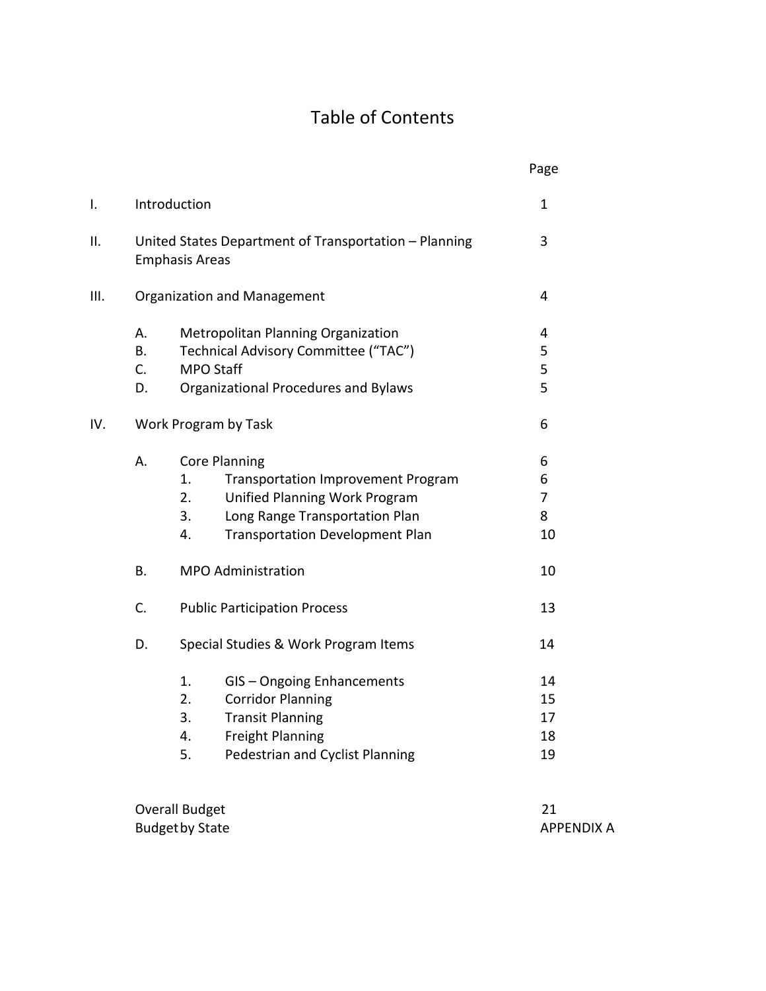# Table of Contents

|      |    |                                                                                | Page              |
|------|----|--------------------------------------------------------------------------------|-------------------|
| I.   |    | Introduction                                                                   | $\mathbf 1$       |
| ΙΙ.  |    | United States Department of Transportation - Planning<br><b>Emphasis Areas</b> | 3                 |
| III. |    | <b>Organization and Management</b>                                             | 4                 |
|      | Α. | Metropolitan Planning Organization                                             | 4                 |
|      | В. | Technical Advisory Committee ("TAC")                                           | 5                 |
|      | C. | <b>MPO Staff</b>                                                               | 5                 |
|      | D. | Organizational Procedures and Bylaws                                           | 5                 |
| IV.  |    | Work Program by Task                                                           | 6                 |
|      | Α. | <b>Core Planning</b>                                                           | 6                 |
|      |    | <b>Transportation Improvement Program</b><br>1.                                | 6                 |
|      |    | Unified Planning Work Program<br>2.                                            | 7                 |
|      |    | Long Range Transportation Plan<br>3.                                           | 8                 |
|      |    | <b>Transportation Development Plan</b><br>4.                                   | 10                |
|      | В. | <b>MPO Administration</b>                                                      | 10                |
|      | C. | <b>Public Participation Process</b>                                            | 13                |
|      | D. | Special Studies & Work Program Items                                           | 14                |
|      |    | 1.<br>GIS - Ongoing Enhancements                                               | 14                |
|      |    | <b>Corridor Planning</b><br>2.                                                 | 15                |
|      |    | 3.<br><b>Transit Planning</b>                                                  | 17                |
|      |    | <b>Freight Planning</b><br>4.                                                  | 18                |
|      |    | Pedestrian and Cyclist Planning<br>5.                                          | 19                |
|      |    | <b>Overall Budget</b>                                                          | 21                |
|      |    | <b>Budget by State</b>                                                         | <b>APPENDIX A</b> |
|      |    |                                                                                |                   |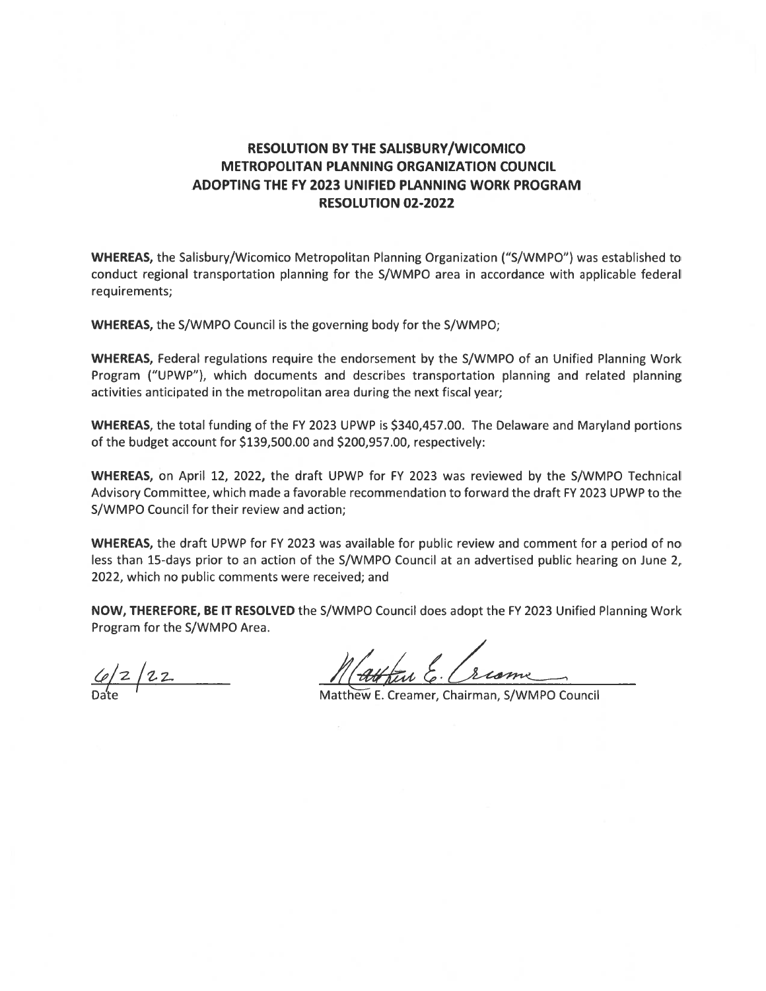# RESOLUTION BY THE SALISBURY/WICOMICO METROPOLITAN PLANNING ORGANIZATION COUNCIL ADOPTING THE FY 2023 UNIFIED PLANNING WORK PROGRAM RESOLUTION 02-2022

WHEREAS, the Salisbury/Wicomico Metropolitan Planning Organization ("S/WMPO") was established to conduct regional transportation planning for the S/WMPO area in accordance with applicable federal requirements;

WHEREAS, the S/WMPO Council is the governing body for the S/WMPO;

WHEREAS, Federal regulations require the endorsement by the S/WMPO of an Unified Planning Work Program ("UPWP"), which documents and describes transportation planning and related planning activities anticipated in the metropolitan area during the next fiscal year;

WHEREAS, the total funding of the FY 2023 UPWP is \$340,457.00. The Delaware and Maryland portions of the budget account for \$139,500.00 and \$200,957.00, respectively:

WHEREAS, on April 12, 2022, the draft UPWP for FY 2023 was reviewed by the S/WMPO Technical Advisory Committee, which made <sup>a</sup> favorable recommendation to forward the draft FY 2023 UPWP to the S/WMPO Council for their review and action;

WHEREAS, the draft UPWP for FY 2023 was available for public review and comment for <sup>a</sup> period of no less than 15-days prior to an action of the S/WMPO Council at an advertised public hearing on June 2, 2022, which no public comments were received; and

NOW, THEREFORE, BE IT RESOLVED the S/WMPO Council does adopt the FY 2023 Unified Planning Work Program for the S/WMPO Area.

Attin E. Crisme  $\frac{C_0}{2}$  22 Matthew E. Creamer, Chairman, S/WMPO Council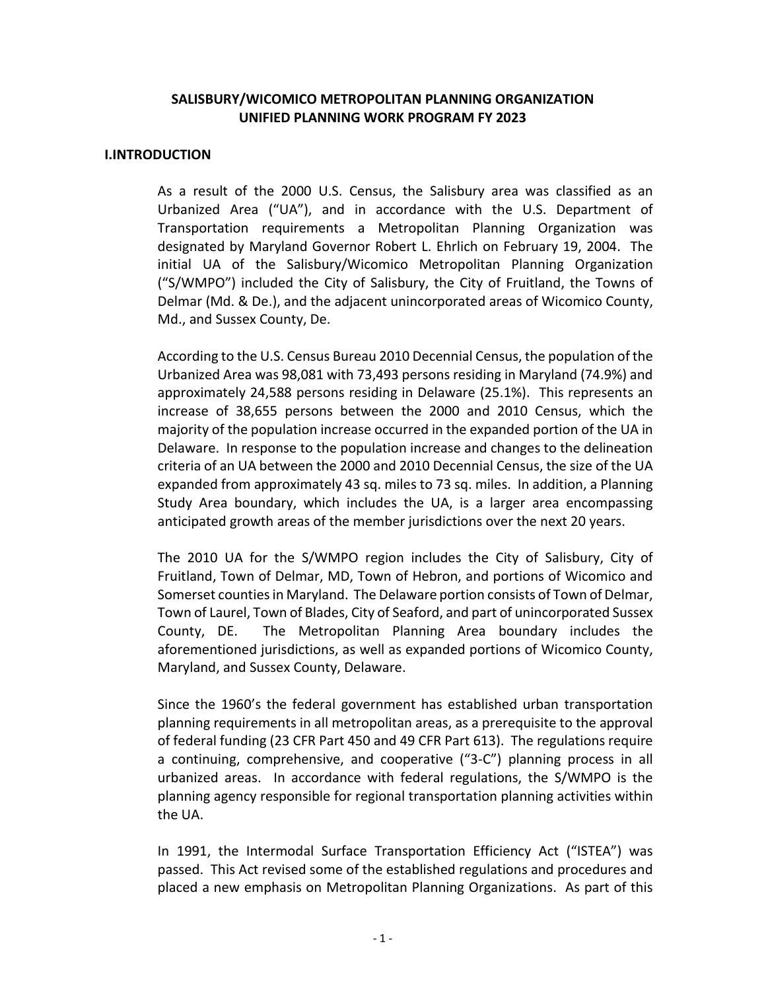#### **SALISBURY/WICOMICO METROPOLITAN PLANNING ORGANIZATION UNIFIED PLANNING WORK PROGRAM FY 2023**

#### **I.INTRODUCTION**

As a result of the 2000 U.S. Census, the Salisbury area was classified as an Urbanized Area ("UA"), and in accordance with the U.S. Department of Transportation requirements a Metropolitan Planning Organization was designated by Maryland Governor Robert L. Ehrlich on February 19, 2004. The initial UA of the Salisbury/Wicomico Metropolitan Planning Organization ("S/WMPO") included the City of Salisbury, the City of Fruitland, the Towns of Delmar (Md. & De.), and the adjacent unincorporated areas of Wicomico County, Md., and Sussex County, De.

According to the U.S. Census Bureau 2010 Decennial Census, the population of the Urbanized Area was 98,081 with 73,493 persons residing in Maryland (74.9%) and approximately 24,588 persons residing in Delaware (25.1%). This represents an increase of 38,655 persons between the 2000 and 2010 Census, which the majority of the population increase occurred in the expanded portion of the UA in Delaware. In response to the population increase and changes to the delineation criteria of an UA between the 2000 and 2010 Decennial Census, the size of the UA expanded from approximately 43 sq. miles to 73 sq. miles. In addition, a Planning Study Area boundary, which includes the UA, is a larger area encompassing anticipated growth areas of the member jurisdictions over the next 20 years.

The 2010 UA for the S/WMPO region includes the City of Salisbury, City of Fruitland, Town of Delmar, MD, Town of Hebron, and portions of Wicomico and Somerset counties in Maryland. The Delaware portion consists of Town of Delmar, Town of Laurel, Town of Blades, City of Seaford, and part of unincorporated Sussex County, DE. The Metropolitan Planning Area boundary includes the aforementioned jurisdictions, as well as expanded portions of Wicomico County, Maryland, and Sussex County, Delaware.

Since the 1960's the federal government has established urban transportation planning requirements in all metropolitan areas, as a prerequisite to the approval of federal funding (23 CFR Part 450 and 49 CFR Part 613). The regulations require a continuing, comprehensive, and cooperative ("3-C") planning process in all urbanized areas. In accordance with federal regulations, the S/WMPO is the planning agency responsible for regional transportation planning activities within the UA.

In 1991, the Intermodal Surface Transportation Efficiency Act ("ISTEA") was passed. This Act revised some of the established regulations and procedures and placed a new emphasis on Metropolitan Planning Organizations. As part of this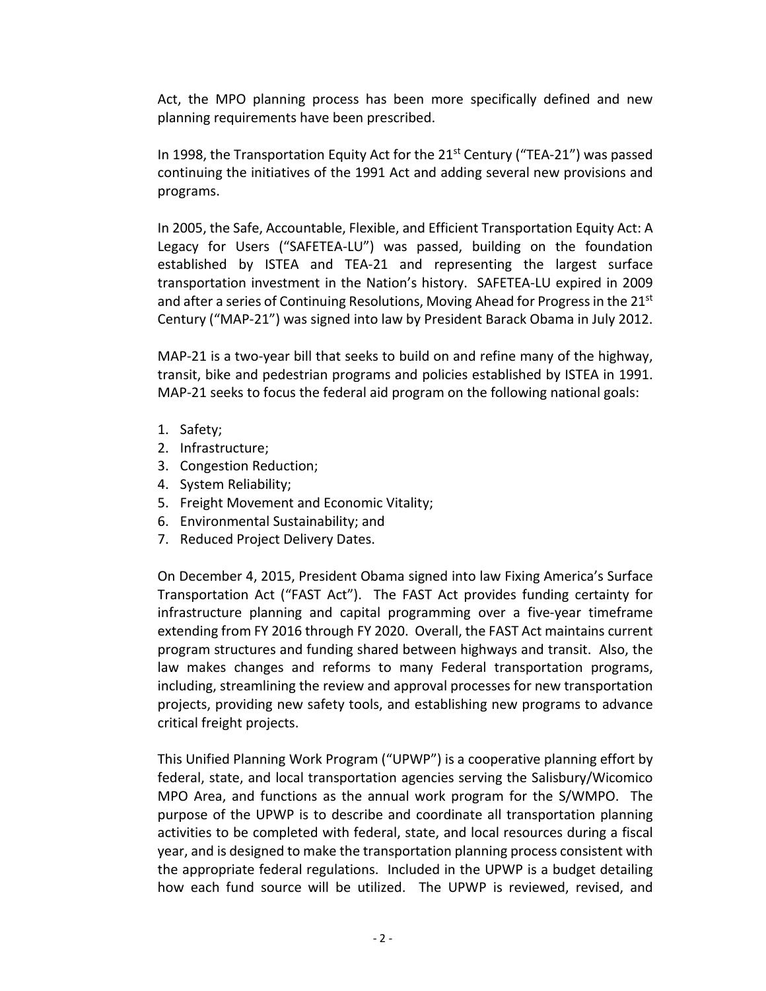Act, the MPO planning process has been more specifically defined and new planning requirements have been prescribed.

In 1998, the Transportation Equity Act for the  $21^{st}$  Century ("TEA-21") was passed continuing the initiatives of the 1991 Act and adding several new provisions and programs.

In 2005, the Safe, Accountable, Flexible, and Efficient Transportation Equity Act: A Legacy for Users ("SAFETEA-LU") was passed, building on the foundation established by ISTEA and TEA-21 and representing the largest surface transportation investment in the Nation's history. SAFETEA-LU expired in 2009 and after a series of Continuing Resolutions, Moving Ahead for Progress in the  $21^{st}$ Century ("MAP-21") was signed into law by President Barack Obama in July 2012.

MAP-21 is a two-year bill that seeks to build on and refine many of the highway, transit, bike and pedestrian programs and policies established by ISTEA in 1991. MAP-21 seeks to focus the federal aid program on the following national goals:

- 1. Safety;
- 2. Infrastructure;
- 3. Congestion Reduction;
- 4. System Reliability;
- 5. Freight Movement and Economic Vitality;
- 6. Environmental Sustainability; and
- 7. Reduced Project Delivery Dates.

On December 4, 2015, President Obama signed into law Fixing America's Surface Transportation Act ("FAST Act"). The FAST Act provides funding certainty for infrastructure planning and capital programming over a five-year timeframe extending from FY 2016 through FY 2020. Overall, the FAST Act maintains current program structures and funding shared between highways and transit. Also, the law makes changes and reforms to many Federal transportation programs, including, streamlining the review and approval processes for new transportation projects, providing new safety tools, and establishing new programs to advance critical freight projects.

This Unified Planning Work Program ("UPWP") is a cooperative planning effort by federal, state, and local transportation agencies serving the Salisbury/Wicomico MPO Area, and functions as the annual work program for the S/WMPO. The purpose of the UPWP is to describe and coordinate all transportation planning activities to be completed with federal, state, and local resources during a fiscal year, and is designed to make the transportation planning process consistent with the appropriate federal regulations. Included in the UPWP is a budget detailing how each fund source will be utilized. The UPWP is reviewed, revised, and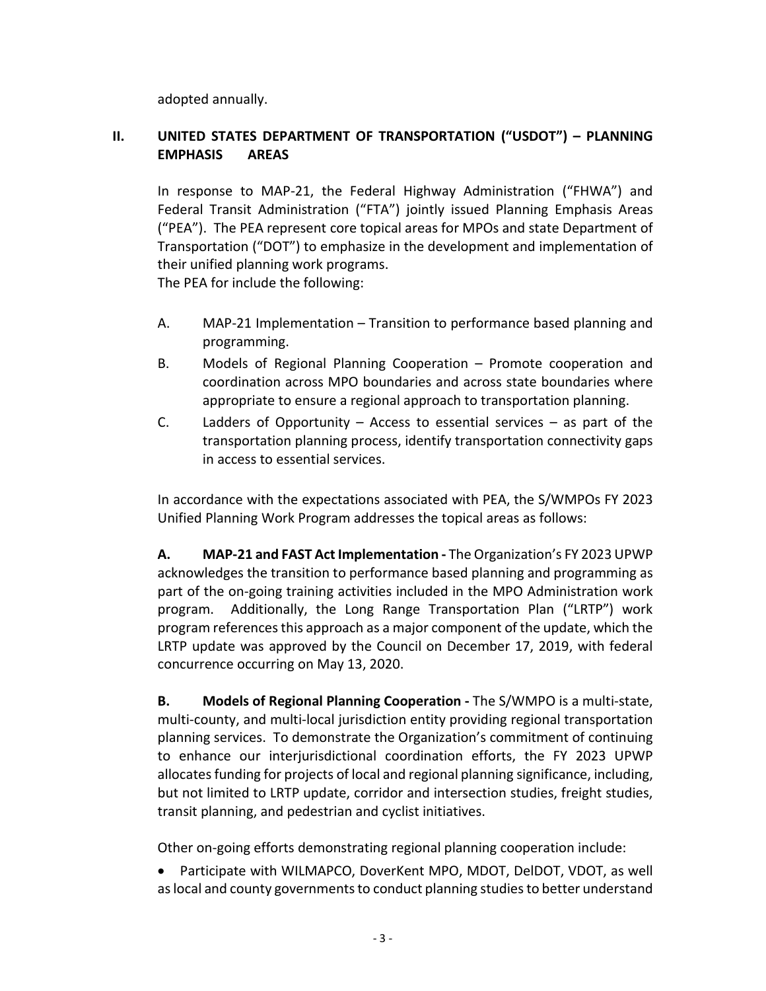adopted annually.

# **II. UNITED STATES DEPARTMENT OF TRANSPORTATION ("USDOT") – PLANNING EMPHASIS AREAS**

In response to MAP-21, the Federal Highway Administration ("FHWA") and Federal Transit Administration ("FTA") jointly issued Planning Emphasis Areas ("PEA"). The PEA represent core topical areas for MPOs and state Department of Transportation ("DOT") to emphasize in the development and implementation of their unified planning work programs. The PEA for include the following:

- A. MAP-21 Implementation Transition to performance based planning and programming.
- B. Models of Regional Planning Cooperation Promote cooperation and coordination across MPO boundaries and across state boundaries where appropriate to ensure a regional approach to transportation planning.
- C. Ladders of Opportunity Access to essential services as part of the transportation planning process, identify transportation connectivity gaps in access to essential services.

In accordance with the expectations associated with PEA, the S/WMPOs FY 2023 Unified Planning Work Program addresses the topical areas as follows:

**A. MAP-21 and FAST Act Implementation -** The Organization's FY 2023 UPWP acknowledges the transition to performance based planning and programming as part of the on-going training activities included in the MPO Administration work program. Additionally, the Long Range Transportation Plan ("LRTP") work program references this approach as a major component of the update, which the LRTP update was approved by the Council on December 17, 2019, with federal concurrence occurring on May 13, 2020.

**B. Models of Regional Planning Cooperation -** The S/WMPO is a multi-state, multi-county, and multi-local jurisdiction entity providing regional transportation planning services. To demonstrate the Organization's commitment of continuing to enhance our interjurisdictional coordination efforts, the FY 2023 UPWP allocates funding for projects of local and regional planning significance, including, but not limited to LRTP update, corridor and intersection studies, freight studies, transit planning, and pedestrian and cyclist initiatives.

Other on-going efforts demonstrating regional planning cooperation include:

 Participate with WILMAPCO, DoverKent MPO, MDOT, DelDOT, VDOT, as well as local and county governments to conduct planning studies to better understand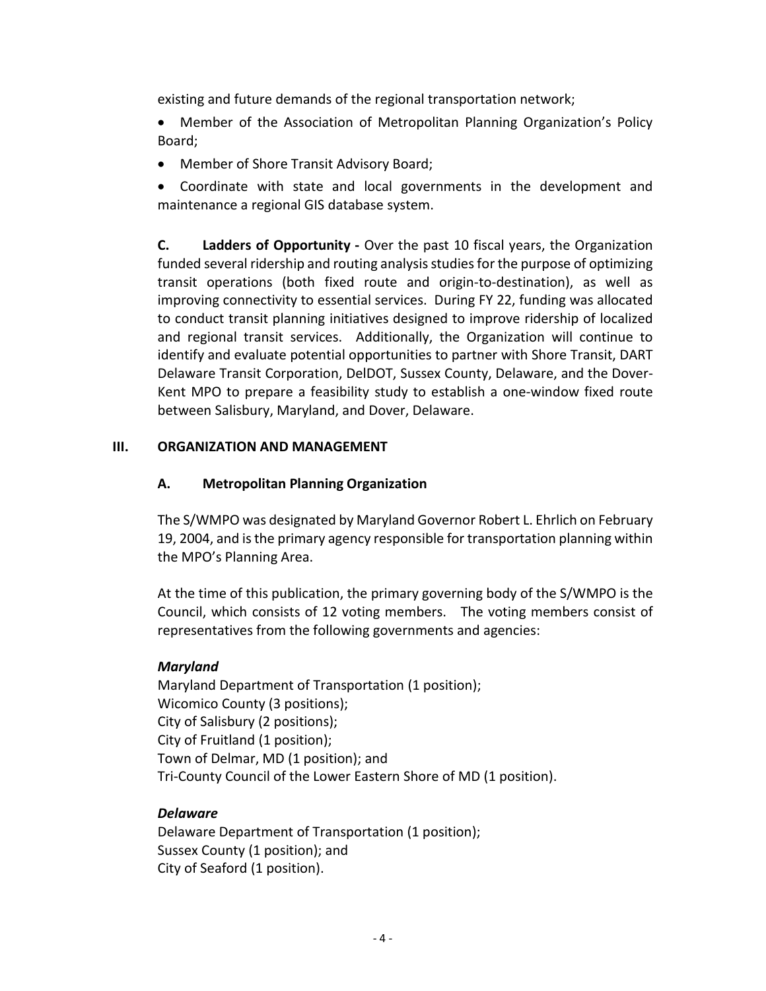existing and future demands of the regional transportation network;

 Member of the Association of Metropolitan Planning Organization's Policy Board;

Member of Shore Transit Advisory Board;

 Coordinate with state and local governments in the development and maintenance a regional GIS database system.

**C. Ladders of Opportunity -** Over the past 10 fiscal years, the Organization funded several ridership and routing analysis studies for the purpose of optimizing transit operations (both fixed route and origin-to-destination), as well as improving connectivity to essential services. During FY 22, funding was allocated to conduct transit planning initiatives designed to improve ridership of localized and regional transit services. Additionally, the Organization will continue to identify and evaluate potential opportunities to partner with Shore Transit, DART Delaware Transit Corporation, DelDOT, Sussex County, Delaware, and the Dover-Kent MPO to prepare a feasibility study to establish a one-window fixed route between Salisbury, Maryland, and Dover, Delaware.

#### **III. ORGANIZATION AND MANAGEMENT**

#### **A. Metropolitan Planning Organization**

The S/WMPO was designated by Maryland Governor Robert L. Ehrlich on February 19, 2004, and is the primary agency responsible for transportation planning within the MPO's Planning Area.

At the time of this publication, the primary governing body of the S/WMPO is the Council, which consists of 12 voting members. The voting members consist of representatives from the following governments and agencies:

## *Maryland*

Maryland Department of Transportation (1 position); Wicomico County (3 positions); City of Salisbury (2 positions); City of Fruitland (1 position); Town of Delmar, MD (1 position); and Tri-County Council of the Lower Eastern Shore of MD (1 position).

#### *Delaware*

Delaware Department of Transportation (1 position); Sussex County (1 position); and City of Seaford (1 position).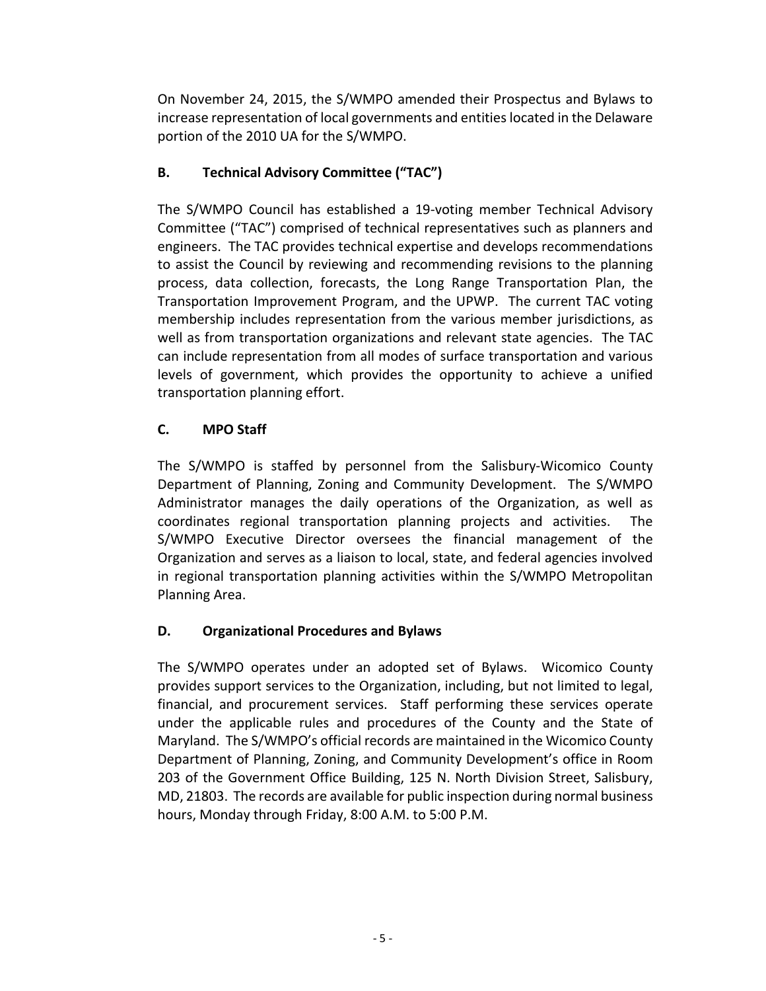On November 24, 2015, the S/WMPO amended their Prospectus and Bylaws to increase representation of local governments and entities located in the Delaware portion of the 2010 UA for the S/WMPO.

# **B. Technical Advisory Committee ("TAC")**

The S/WMPO Council has established a 19-voting member Technical Advisory Committee ("TAC") comprised of technical representatives such as planners and engineers. The TAC provides technical expertise and develops recommendations to assist the Council by reviewing and recommending revisions to the planning process, data collection, forecasts, the Long Range Transportation Plan, the Transportation Improvement Program, and the UPWP. The current TAC voting membership includes representation from the various member jurisdictions, as well as from transportation organizations and relevant state agencies. The TAC can include representation from all modes of surface transportation and various levels of government, which provides the opportunity to achieve a unified transportation planning effort.

# **C. MPO Staff**

The S/WMPO is staffed by personnel from the Salisbury-Wicomico County Department of Planning, Zoning and Community Development. The S/WMPO Administrator manages the daily operations of the Organization, as well as coordinates regional transportation planning projects and activities. The S/WMPO Executive Director oversees the financial management of the Organization and serves as a liaison to local, state, and federal agencies involved in regional transportation planning activities within the S/WMPO Metropolitan Planning Area.

## **D. Organizational Procedures and Bylaws**

The S/WMPO operates under an adopted set of Bylaws. Wicomico County provides support services to the Organization, including, but not limited to legal, financial, and procurement services. Staff performing these services operate under the applicable rules and procedures of the County and the State of Maryland. The S/WMPO's official records are maintained in the Wicomico County Department of Planning, Zoning, and Community Development's office in Room 203 of the Government Office Building, 125 N. North Division Street, Salisbury, MD, 21803. The records are available for public inspection during normal business hours, Monday through Friday, 8:00 A.M. to 5:00 P.M.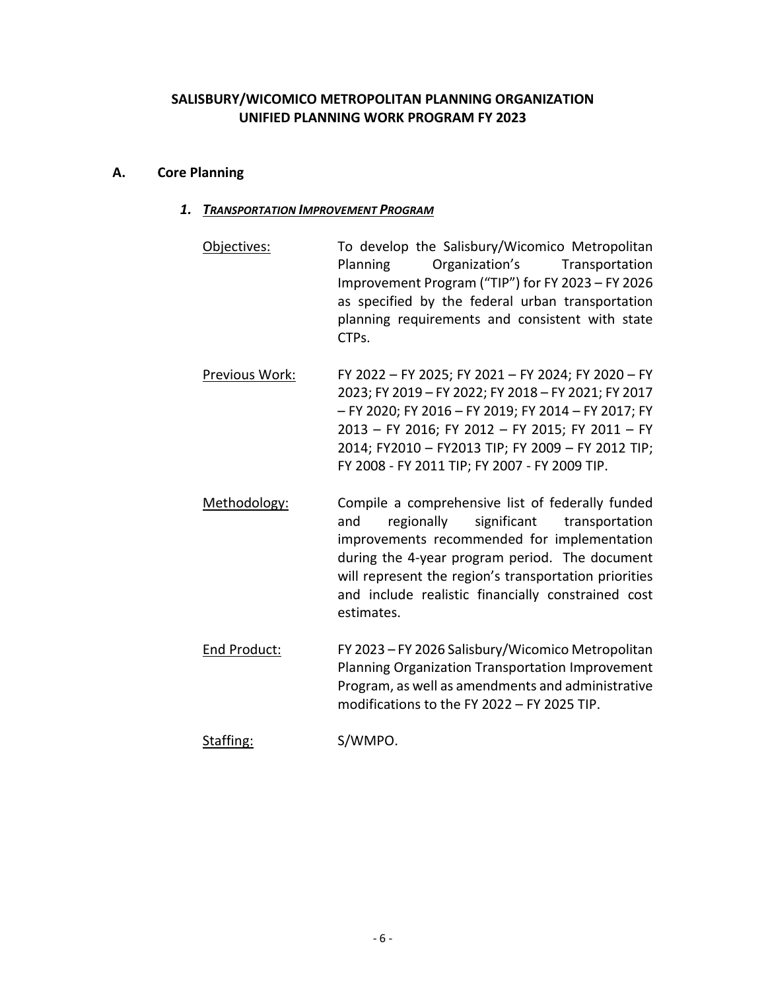## **SALISBURY/WICOMICO METROPOLITAN PLANNING ORGANIZATION UNIFIED PLANNING WORK PROGRAM FY 2023**

#### **A. Core Planning**

#### *1. TRANSPORTATION IMPROVEMENT PROGRAM*

- Objectives: To develop the Salisbury/Wicomico Metropolitan Planning Organization's Transportation Improvement Program ("TIP") for FY 2023 – FY 2026 as specified by the federal urban transportation planning requirements and consistent with state CTPs.
- Previous Work: FY 2022 FY 2025; FY 2021 FY 2024; FY 2020 FY 2023; FY 2019 – FY 2022; FY 2018 – FY 2021; FY 2017 – FY 2020; FY 2016 – FY 2019; FY 2014 – FY 2017; FY 2013 – FY 2016; FY 2012 – FY 2015; FY 2011 – FY 2014; FY2010 – FY2013 TIP; FY 2009 – FY 2012 TIP; FY 2008 - FY 2011 TIP; FY 2007 - FY 2009 TIP.
- Methodology: Compile a comprehensive list of federally funded and regionally significant transportation improvements recommended for implementation during the 4-year program period. The document will represent the region's transportation priorities and include realistic financially constrained cost estimates.
- End Product: FY 2023 FY 2026 Salisbury/Wicomico Metropolitan Planning Organization Transportation Improvement Program, as well as amendments and administrative modifications to the FY 2022 – FY 2025 TIP.
- Staffing: S/WMPO.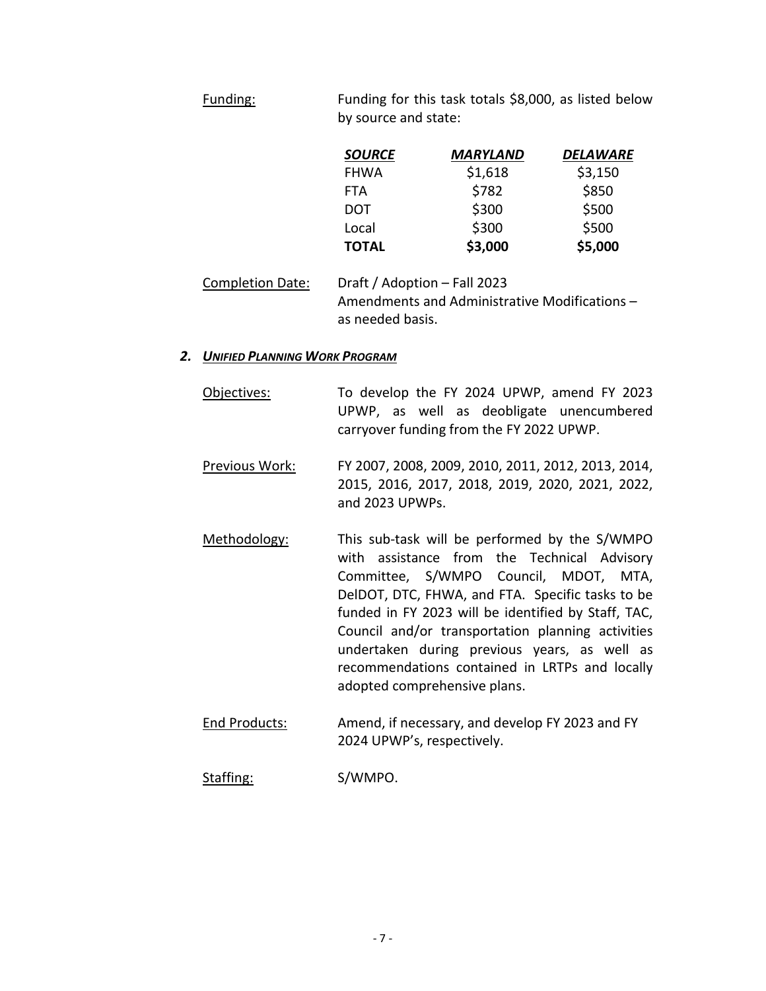Funding: Funding for this task totals \$8,000, as listed below by source and state:

| <b>SOURCE</b> | MARYLAND | DELAWARE |
|---------------|----------|----------|
| <b>FHWA</b>   | \$1,618  | \$3,150  |
| <b>FTA</b>    | \$782    | \$850    |
| <b>DOT</b>    | \$300    | \$500    |
| Local         | \$300    | \$500    |
| <b>TOTAL</b>  | \$3,000  | \$5,000  |

Completion Date: Draft / Adoption – Fall 2023 Amendments and Administrative Modifications – as needed basis.

#### *2. UNIFIED PLANNING WORK PROGRAM*

Objectives: To develop the FY 2024 UPWP, amend FY 2023 UPWP, as well as deobligate unencumbered carryover funding from the FY 2022 UPWP.

Previous Work: FY 2007, 2008, 2009, 2010, 2011, 2012, 2013, 2014, 2015, 2016, 2017, 2018, 2019, 2020, 2021, 2022, and 2023 UPWPs.

- Methodology: This sub-task will be performed by the S/WMPO with assistance from the Technical Advisory Committee, S/WMPO Council, MDOT, MTA, DelDOT, DTC, FHWA, and FTA. Specific tasks to be funded in FY 2023 will be identified by Staff, TAC, Council and/or transportation planning activities undertaken during previous years, as well as recommendations contained in LRTPs and locally adopted comprehensive plans.
- End Products: Amend, if necessary, and develop FY 2023 and FY 2024 UPWP's, respectively.

#### Staffing: S/WMPO.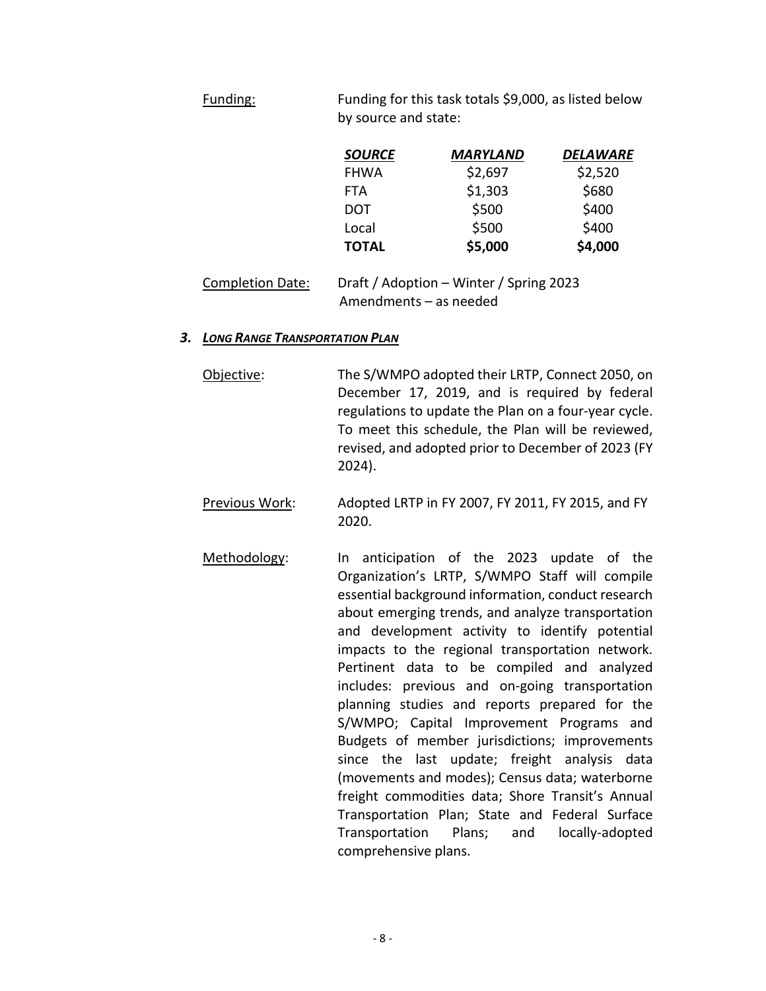Funding: Funding for this task totals \$9,000, as listed below by source and state:

| <b>SOURCE</b> | <b>MARYLAND</b> | <b>DELAWARE</b> |
|---------------|-----------------|-----------------|
| <b>FHWA</b>   | \$2,697         | \$2,520         |
| <b>FTA</b>    | \$1,303         | \$680           |
| <b>DOT</b>    | \$500           | \$400           |
| Local         | \$500           | \$400           |
| <b>TOTAL</b>  | \$5,000         | \$4,000         |

| <b>Completion Date:</b> | Draft / Adoption – Winter / Spring 2023 |
|-------------------------|-----------------------------------------|
|                         | Amendments - as needed                  |

#### *3. LONG RANGE TRANSPORTATION PLAN*

Objective: The S/WMPO adopted their LRTP, Connect 2050, on December 17, 2019, and is required by federal regulations to update the Plan on a four-year cycle. To meet this schedule, the Plan will be reviewed, revised, and adopted prior to December of 2023 (FY 2024).

- Previous Work: Adopted LRTP in FY 2007, FY 2011, FY 2015, and FY 2020.
- Methodology: In anticipation of the 2023 update of the Organization's LRTP, S/WMPO Staff will compile essential background information, conduct research about emerging trends, and analyze transportation and development activity to identify potential impacts to the regional transportation network. Pertinent data to be compiled and analyzed includes: previous and on-going transportation planning studies and reports prepared for the S/WMPO; Capital Improvement Programs and Budgets of member jurisdictions; improvements since the last update; freight analysis data (movements and modes); Census data; waterborne freight commodities data; Shore Transit's Annual Transportation Plan; State and Federal Surface Transportation Plans; and locally-adopted comprehensive plans.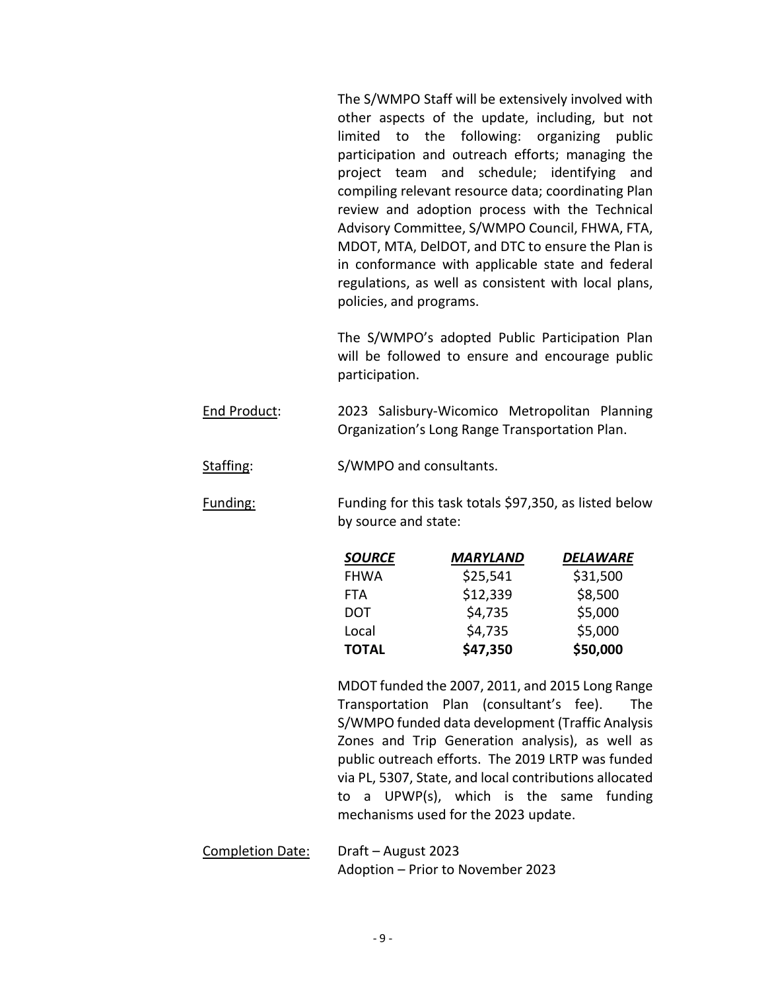The S/WMPO Staff will be extensively involved with other aspects of the update, including, but not limited to the following: organizing public participation and outreach efforts; managing the project team and schedule; identifying and compiling relevant resource data; coordinating Plan review and adoption process with the Technical Advisory Committee, S/WMPO Council, FHWA, FTA, MDOT, MTA, DelDOT, and DTC to ensure the Plan is in conformance with applicable state and federal regulations, as well as consistent with local plans, policies, and programs.

The S/WMPO's adopted Public Participation Plan will be followed to ensure and encourage public participation.

End Product: 2023 Salisbury-Wicomico Metropolitan Planning Organization's Long Range Transportation Plan.

Staffing: S/WMPO and consultants.

Funding: Funding for this task totals \$97,350, as listed below by source and state:

| <b>SOURCE</b> | MARYLAND | <b>DELAWARE</b> |
|---------------|----------|-----------------|
| <b>FHWA</b>   | \$25,541 | \$31,500        |
| <b>FTA</b>    | \$12,339 | \$8,500         |
| <b>DOT</b>    | \$4,735  | \$5,000         |
| Local         | \$4,735  | \$5,000         |
| <b>TOTAL</b>  | \$47,350 | \$50,000        |

MDOT funded the 2007, 2011, and 2015 Long Range Transportation Plan (consultant's fee). The S/WMPO funded data development (Traffic Analysis Zones and Trip Generation analysis), as well as public outreach efforts. The 2019 LRTP was funded via PL, 5307, State, and local contributions allocated to a UPWP(s), which is the same funding mechanisms used for the 2023 update.

Completion Date: Draft – August 2023 Adoption – Prior to November 2023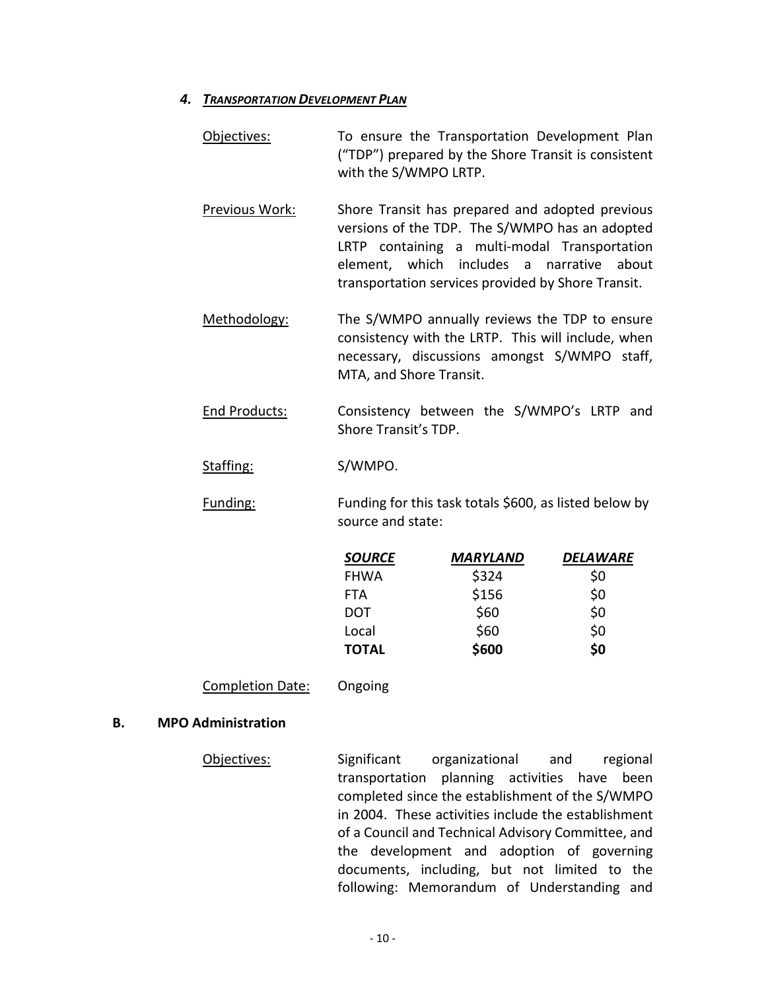#### *4. TRANSPORTATION DEVELOPMENT PLAN*

- Objectives: To ensure the Transportation Development Plan ("TDP") prepared by the Shore Transit is consistent with the S/WMPO LRTP.
- Previous Work: Shore Transit has prepared and adopted previous versions of the TDP. The S/WMPO has an adopted LRTP containing a multi-modal Transportation element, which includes a narrative about transportation services provided by Shore Transit.
- Methodology: The S/WMPO annually reviews the TDP to ensure consistency with the LRTP. This will include, when necessary, discussions amongst S/WMPO staff, MTA, and Shore Transit.
- End Products: Consistency between the S/WMPO's LRTP and Shore Transit's TDP.
- Staffing: S/WMPO.
- Funding: Funding for this task totals \$600, as listed below by source and state:

| <b>SOURCE</b> | MARYLAND | DELAWARE |
|---------------|----------|----------|
| <b>FHWA</b>   | \$324    | \$0      |
| <b>FTA</b>    | \$156    | \$0      |
| <b>DOT</b>    | \$60     | \$0      |
| Local         | \$60     | \$0      |
| <b>TOTAL</b>  | \$600    | \$0      |

#### Completion Date: Ongoing

#### **B. MPO Administration**

Objectives: Significant organizational and regional transportation planning activities have been completed since the establishment of the S/WMPO in 2004. These activities include the establishment of a Council and Technical Advisory Committee, and the development and adoption of governing documents, including, but not limited to the following: Memorandum of Understanding and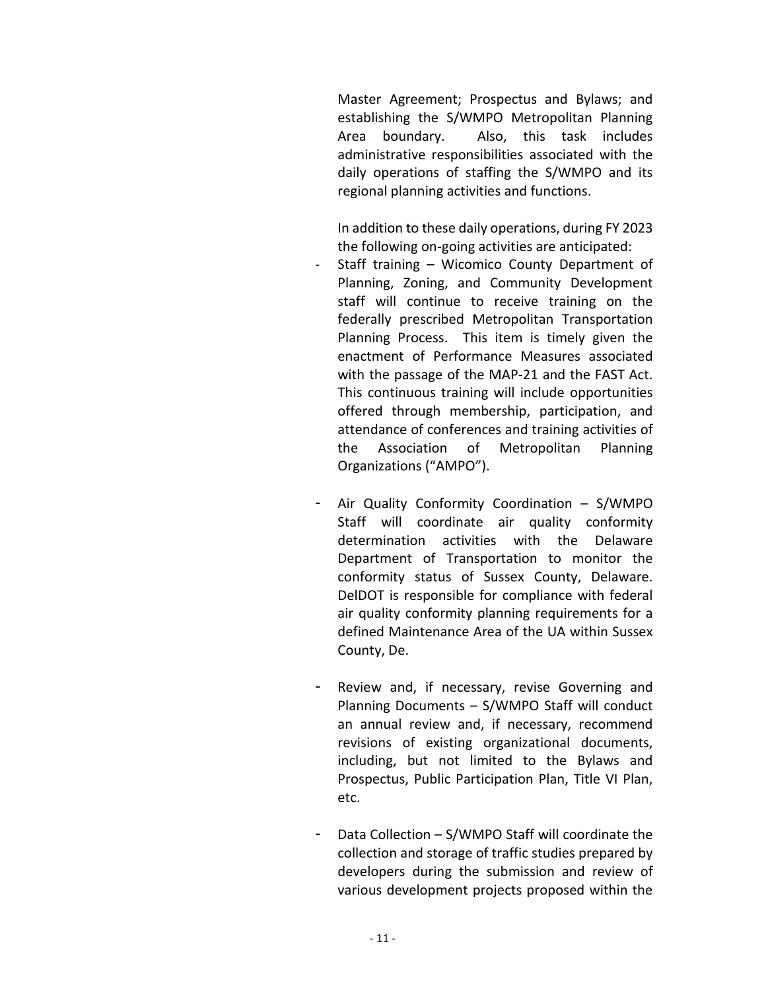Master Agreement; Prospectus and Bylaws; and establishing the S/WMPO Metropolitan Planning Area boundary. Also, this task includes administrative responsibilities associated with the daily operations of staffing the S/WMPO and its regional planning activities and functions.

In addition to these daily operations, during FY 2023 the following on-going activities are anticipated:

- Staff training Wicomico County Department of Planning, Zoning, and Community Development staff will continue to receive training on the federally prescribed Metropolitan Transportation Planning Process. This item is timely given the enactment of Performance Measures associated with the passage of the MAP-21 and the FAST Act. This continuous training will include opportunities offered through membership, participation, and attendance of conferences and training activities of the Association of Metropolitan Planning Organizations ("AMPO").
- Air Quality Conformity Coordination  $-$  S/WMPO Staff will coordinate air quality conformity determination activities with the Delaware Department of Transportation to monitor the conformity status of Sussex County, Delaware. DelDOT is responsible for compliance with federal air quality conformity planning requirements for a defined Maintenance Area of the UA within Sussex County, De.
- Review and, if necessary, revise Governing and Planning Documents – S/WMPO Staff will conduct an annual review and, if necessary, recommend revisions of existing organizational documents, including, but not limited to the Bylaws and Prospectus, Public Participation Plan, Title VI Plan, etc.
- Data Collection  $S/WMPO$  Staff will coordinate the collection and storage of traffic studies prepared by developers during the submission and review of various development projects proposed within the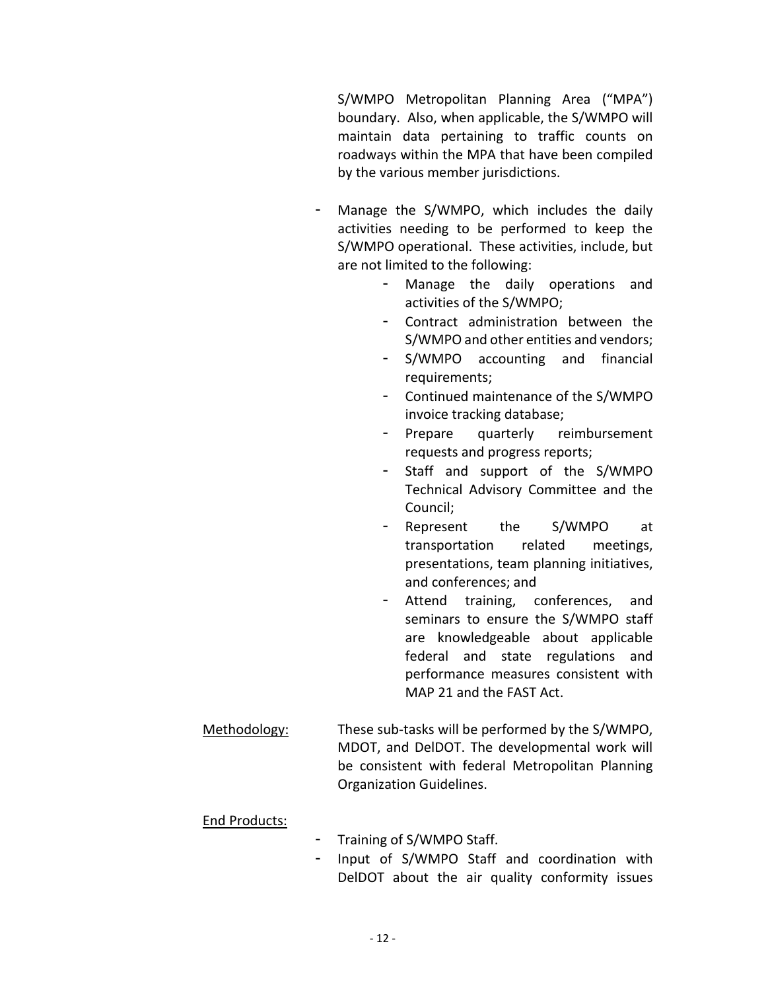S/WMPO Metropolitan Planning Area ("MPA") boundary. Also, when applicable, the S/WMPO will maintain data pertaining to traffic counts on roadways within the MPA that have been compiled by the various member jurisdictions.

- Manage the S/WMPO, which includes the daily activities needing to be performed to keep the S/WMPO operational. These activities, include, but are not limited to the following:
	- Manage the daily operations and activities of the S/WMPO;
	- Contract administration between the S/WMPO and other entities and vendors;
	- S/WMPO accounting and financial requirements;
	- Continued maintenance of the S/WMPO invoice tracking database;
	- Prepare quarterly reimbursement requests and progress reports;
	- Staff and support of the S/WMPO Technical Advisory Committee and the Council;
	- Represent the S/WMPO at transportation related meetings, presentations, team planning initiatives, and conferences; and
	- Attend training, conferences, and seminars to ensure the S/WMPO staff are knowledgeable about applicable federal and state regulations and performance measures consistent with MAP 21 and the FAST Act.
- Methodology: These sub-tasks will be performed by the S/WMPO, MDOT, and DelDOT. The developmental work will be consistent with federal Metropolitan Planning Organization Guidelines.

## End Products:

- Training of S/WMPO Staff.
- Input of S/WMPO Staff and coordination with DelDOT about the air quality conformity issues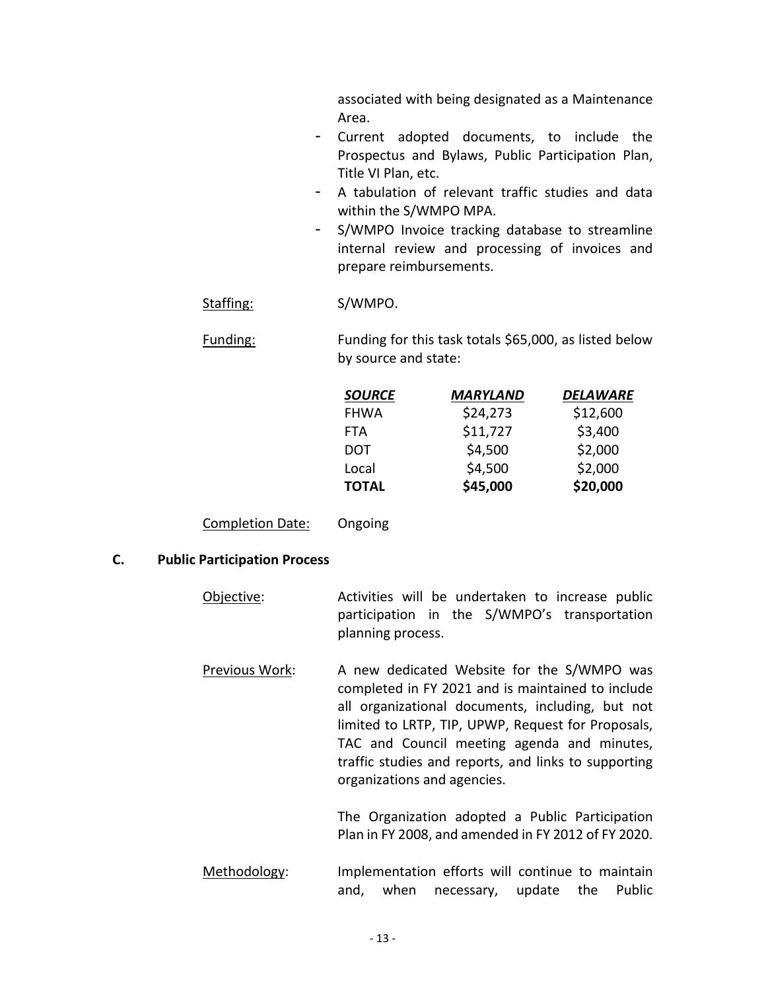associated with being designated as a Maintenance Area.

- Current adopted documents, to include the Prospectus and Bylaws, Public Participation Plan, Title VI Plan, etc.
- A tabulation of relevant traffic studies and data within the S/WMPO MPA.
- S/WMPO Invoice tracking database to streamline internal review and processing of invoices and prepare reimbursements.

Staffing: S/WMPO.

Funding: Funding for this task totals \$65,000, as listed below by source and state:

| <b>SOURCE</b> | <b>MARYLAND</b> | <b>DELAWARE</b> |
|---------------|-----------------|-----------------|
| <b>FHWA</b>   | \$24,273        | \$12,600        |
| <b>FTA</b>    | \$11,727        | \$3,400         |
| <b>DOT</b>    | \$4,500         | \$2,000         |
| Local         | \$4,500         | \$2,000         |
| <b>TOTAL</b>  | \$45,000        | \$20,000        |

Completion Date: Ongoing

#### **C. Public Participation Process**

- Objective: Activities will be undertaken to increase public participation in the S/WMPO's transportation planning process.
- Previous Work: A new dedicated Website for the S/WMPO was completed in FY 2021 and is maintained to include all organizational documents, including, but not limited to LRTP, TIP, UPWP, Request for Proposals, TAC and Council meeting agenda and minutes, traffic studies and reports, and links to supporting organizations and agencies.

The Organization adopted a Public Participation Plan in FY 2008, and amended in FY 2012 of FY 2020.

Methodology: Implementation efforts will continue to maintain and, when necessary, update the Public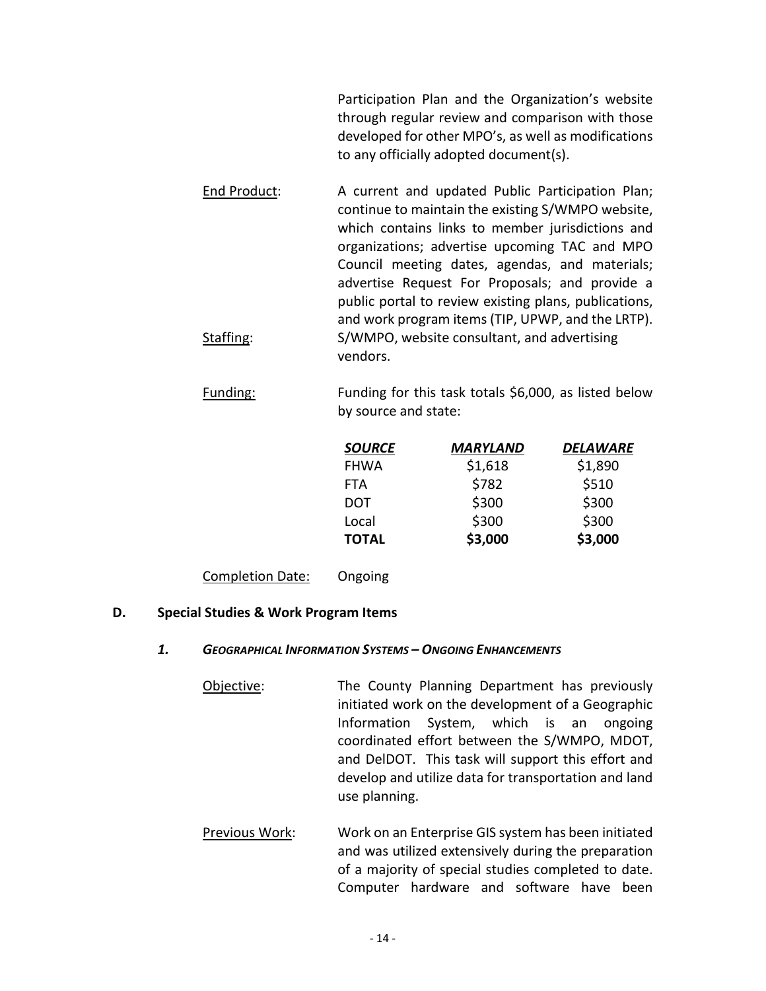Participation Plan and the Organization's website through regular review and comparison with those developed for other MPO's, as well as modifications to any officially adopted document(s).

- End Product: A current and updated Public Participation Plan; continue to maintain the existing S/WMPO website, which contains links to member jurisdictions and organizations; advertise upcoming TAC and MPO Council meeting dates, agendas, and materials; advertise Request For Proposals; and provide a public portal to review existing plans, publications, and work program items (TIP, UPWP, and the LRTP). Staffing: S/WMPO, website consultant, and advertising vendors.
- Funding: Funding for this task totals \$6,000, as listed below by source and state:

| <b>SOURCE</b> | <b>MARYLAND</b> | DELAWARE |
|---------------|-----------------|----------|
| <b>FHWA</b>   | \$1,618         | \$1,890  |
| <b>FTA</b>    | \$782           | \$510    |
| <b>DOT</b>    | \$300           | \$300    |
| Local         | \$300           | \$300    |
| <b>TOTAL</b>  | \$3,000         | \$3,000  |

Completion Date: Ongoing

#### **D. Special Studies & Work Program Items**

#### *1. GEOGRAPHICAL INFORMATION SYSTEMS – ONGOING ENHANCEMENTS*

- Objective: The County Planning Department has previously initiated work on the development of a Geographic Information System, which is an ongoing coordinated effort between the S/WMPO, MDOT, and DelDOT. This task will support this effort and develop and utilize data for transportation and land use planning.
- Previous Work: Work on an Enterprise GIS system has been initiated and was utilized extensively during the preparation of a majority of special studies completed to date. Computer hardware and software have been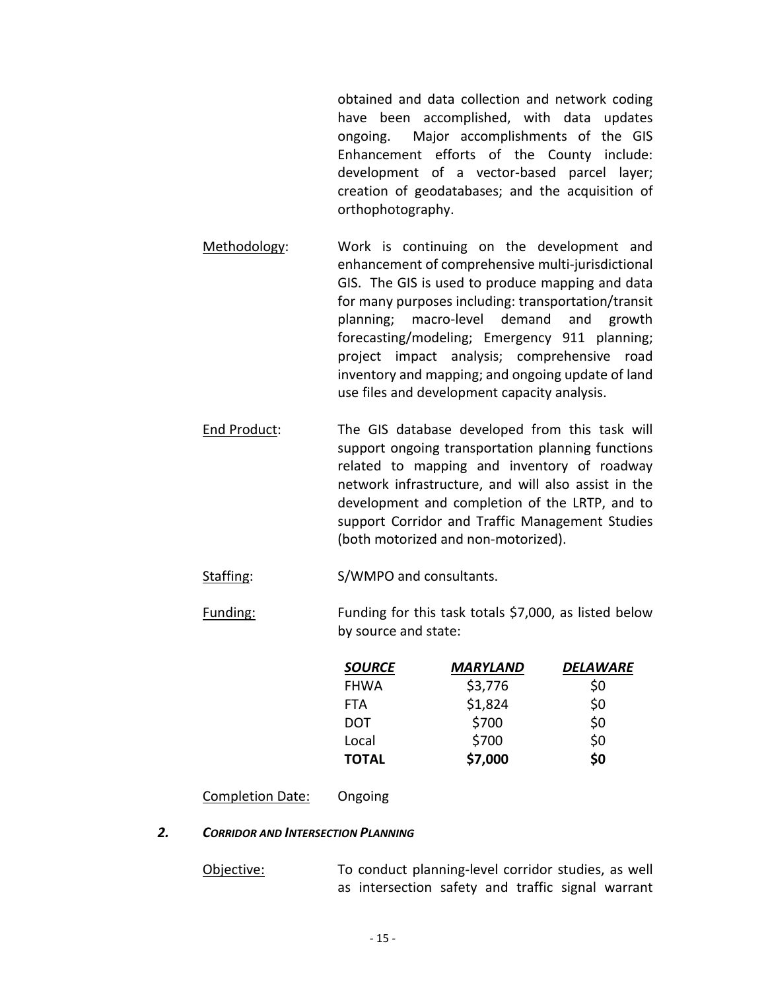obtained and data collection and network coding have been accomplished, with data updates ongoing. Major accomplishments of the GIS Enhancement efforts of the County include: development of a vector-based parcel layer; creation of geodatabases; and the acquisition of orthophotography.

Methodology: Work is continuing on the development and enhancement of comprehensive multi-jurisdictional GIS. The GIS is used to produce mapping and data for many purposes including: transportation/transit planning; macro-level demand and growth forecasting/modeling; Emergency 911 planning; project impact analysis; comprehensive road inventory and mapping; and ongoing update of land use files and development capacity analysis.

End Product: The GIS database developed from this task will support ongoing transportation planning functions related to mapping and inventory of roadway network infrastructure, and will also assist in the development and completion of the LRTP, and to support Corridor and Traffic Management Studies (both motorized and non-motorized).

Staffing: S/WMPO and consultants.

Funding: Funding for this task totals \$7,000, as listed below by source and state:

| <b>SOURCE</b> | MARYLAND | <b>DELAWARE</b> |
|---------------|----------|-----------------|
| <b>FHWA</b>   | \$3,776  | \$0             |
| <b>FTA</b>    | \$1,824  | \$0             |
| <b>DOT</b>    | \$700    | \$0             |
| Local         | \$700    | \$0             |
| <b>TOTAL</b>  | \$7,000  | \$0             |

Completion Date: Ongoing

#### *2. CORRIDOR AND INTERSECTION PLANNING*

Objective: To conduct planning-level corridor studies, as well as intersection safety and traffic signal warrant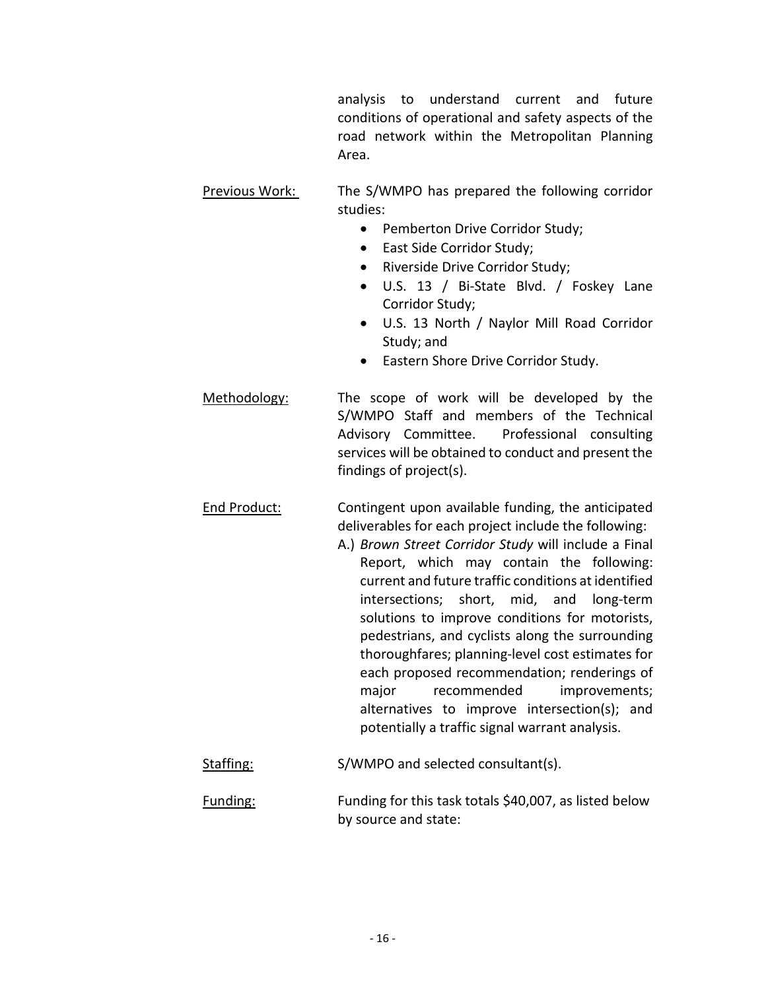analysis to understand current and future conditions of operational and safety aspects of the road network within the Metropolitan Planning Area.

- Previous Work: The S/WMPO has prepared the following corridor studies:
	- Pemberton Drive Corridor Study;
	- East Side Corridor Study;
	- Riverside Drive Corridor Study;
	- U.S. 13 / Bi-State Blvd. / Foskey Lane Corridor Study;
	- U.S. 13 North / Naylor Mill Road Corridor Study; and
	- Eastern Shore Drive Corridor Study.
- Methodology: The scope of work will be developed by the S/WMPO Staff and members of the Technical Advisory Committee. Professional consulting services will be obtained to conduct and present the findings of project(s).
- End Product: Contingent upon available funding, the anticipated deliverables for each project include the following:
	- A.) *Brown Street Corridor Study* will include a Final Report, which may contain the following: current and future traffic conditions at identified intersections; short, mid, and long-term solutions to improve conditions for motorists, pedestrians, and cyclists along the surrounding thoroughfares; planning-level cost estimates for each proposed recommendation; renderings of major recommended improvements; alternatives to improve intersection(s); and potentially a traffic signal warrant analysis.
- Staffing: S/WMPO and selected consultant(s).
- Funding: Funding for this task totals \$40,007, as listed below by source and state: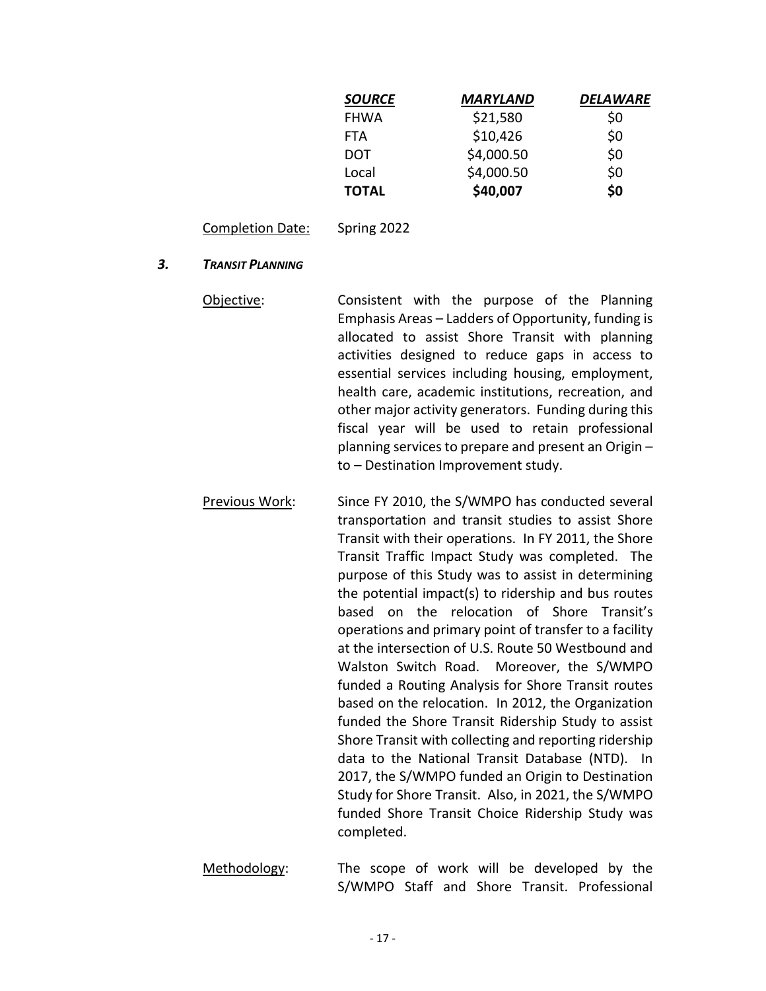| <b>SOURCE</b> | <b>MARYLAND</b> | DELAWARE |
|---------------|-----------------|----------|
| <b>FHWA</b>   | \$21,580        | \$0      |
| <b>FTA</b>    | \$10,426        | \$0      |
| DOT           | \$4,000.50      | \$0      |
| Local         | \$4,000.50      | \$0      |
| <b>TOTAL</b>  | \$40,007        | \$0      |

Completion Date: Spring 2022

#### *3. TRANSIT PLANNING*

- Objective: Consistent with the purpose of the Planning Emphasis Areas – Ladders of Opportunity, funding is allocated to assist Shore Transit with planning activities designed to reduce gaps in access to essential services including housing, employment, health care, academic institutions, recreation, and other major activity generators. Funding during this fiscal year will be used to retain professional planning services to prepare and present an Origin – to – Destination Improvement study.
- Previous Work: Since FY 2010, the S/WMPO has conducted several transportation and transit studies to assist Shore Transit with their operations. In FY 2011, the Shore Transit Traffic Impact Study was completed. The purpose of this Study was to assist in determining the potential impact(s) to ridership and bus routes based on the relocation of Shore Transit's operations and primary point of transfer to a facility at the intersection of U.S. Route 50 Westbound and Walston Switch Road. Moreover, the S/WMPO funded a Routing Analysis for Shore Transit routes based on the relocation. In 2012, the Organization funded the Shore Transit Ridership Study to assist Shore Transit with collecting and reporting ridership data to the National Transit Database (NTD). In 2017, the S/WMPO funded an Origin to Destination Study for Shore Transit. Also, in 2021, the S/WMPO funded Shore Transit Choice Ridership Study was completed.
- Methodology: The scope of work will be developed by the S/WMPO Staff and Shore Transit. Professional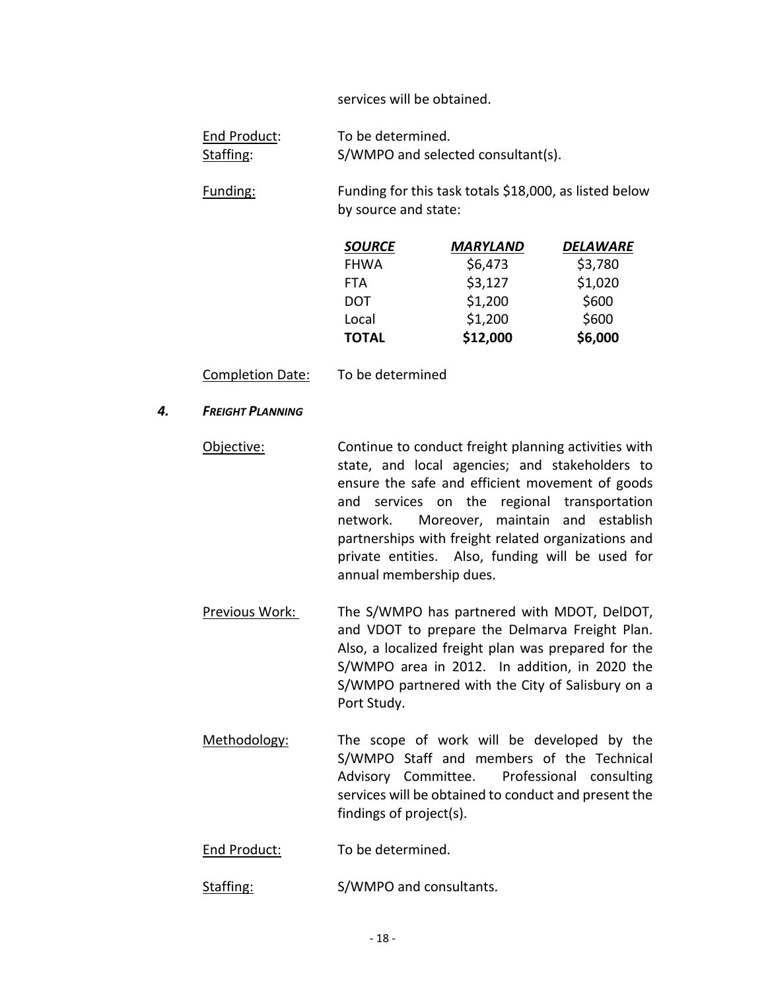services will be obtained.

| End Product: | To be determined.                  |
|--------------|------------------------------------|
| Staffing:    | S/WMPO and selected consultant(s). |

Funding: Funding for this task totals \$18,000, as listed below by source and state:

| <b>SOURCE</b> | MARYLAND | DELAWARE |
|---------------|----------|----------|
| <b>FHWA</b>   | \$6,473  | \$3,780  |
| <b>FTA</b>    | \$3,127  | \$1,020  |
| <b>DOT</b>    | \$1,200  | \$600    |
| Local         | \$1,200  | \$600    |
| <b>TOTAL</b>  | \$12,000 | \$6,000  |

Completion Date: To be determined

#### *4. FREIGHT PLANNING*

- Objective: Continue to conduct freight planning activities with state, and local agencies; and stakeholders to ensure the safe and efficient movement of goods and services on the regional transportation network. Moreover, maintain and establish partnerships with freight related organizations and private entities. Also, funding will be used for annual membership dues.
- Previous Work: The S/WMPO has partnered with MDOT, DelDOT, and VDOT to prepare the Delmarva Freight Plan. Also, a localized freight plan was prepared for the S/WMPO area in 2012. In addition, in 2020 the S/WMPO partnered with the City of Salisbury on a Port Study.
- Methodology: The scope of work will be developed by the S/WMPO Staff and members of the Technical Advisory Committee. Professional consulting services will be obtained to conduct and present the findings of project(s).

End Product: To be determined.

Staffing: S/WMPO and consultants.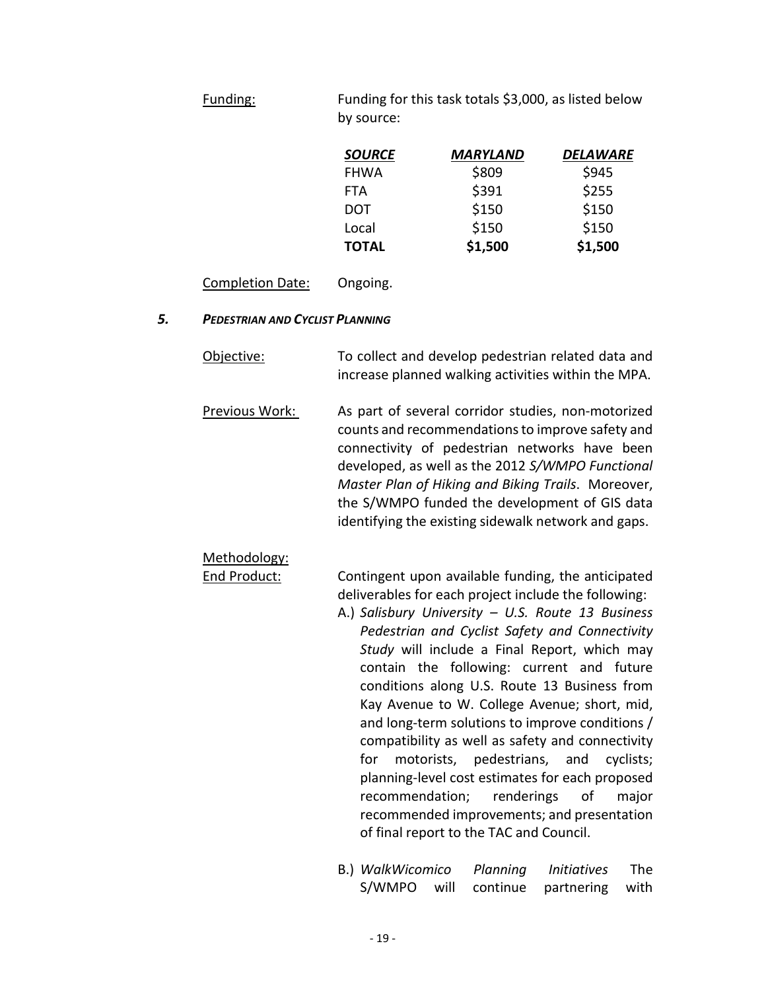Funding: Funding for this task totals \$3,000, as listed below by source:

| <b>SOURCE</b> | <b>MARYLAND</b> | DELAWARE |
|---------------|-----------------|----------|
| <b>FHWA</b>   | \$809           | \$945    |
| <b>FTA</b>    | \$391           | \$255    |
| <b>DOT</b>    | \$150           | \$150    |
| Local         | \$150           | \$150    |
| <b>TOTAL</b>  | \$1,500         | \$1,500  |

Completion Date: Ongoing.

#### *5. PEDESTRIAN AND CYCLIST PLANNING*

- Objective: To collect and develop pedestrian related data and increase planned walking activities within the MPA.
- Previous Work: As part of several corridor studies, non-motorized counts and recommendations to improve safety and connectivity of pedestrian networks have been developed, as well as the 2012 *S/WMPO Functional Master Plan of Hiking and Biking Trails*. Moreover, the S/WMPO funded the development of GIS data identifying the existing sidewalk network and gaps.

# Methodology:

End Product: Contingent upon available funding, the anticipated deliverables for each project include the following:

- A.) *Salisbury University – U.S. Route 13 Business Pedestrian and Cyclist Safety and Connectivity Study* will include a Final Report, which may contain the following: current and future conditions along U.S. Route 13 Business from Kay Avenue to W. College Avenue; short, mid, and long-term solutions to improve conditions / compatibility as well as safety and connectivity for motorists, pedestrians, and cyclists; planning-level cost estimates for each proposed recommendation; renderings of major recommended improvements; and presentation of final report to the TAC and Council.
- B.) *WalkWicomico Planning Initiatives* The S/WMPO will continue partnering with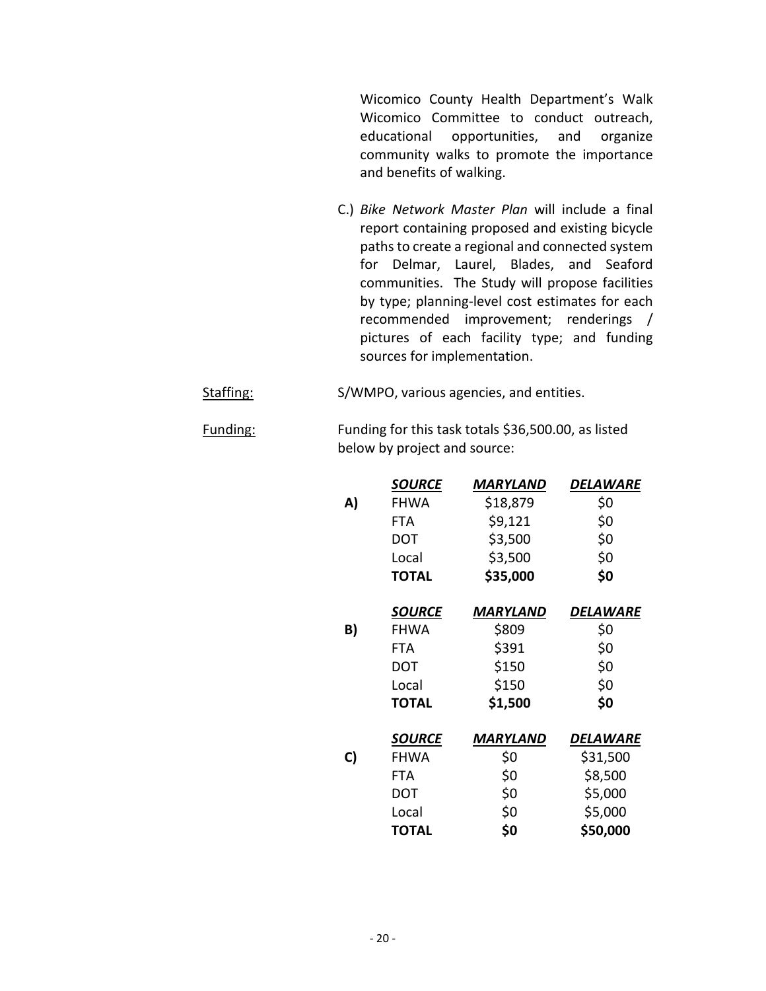Wicomico County Health Department's Walk Wicomico Committee to conduct outreach, educational opportunities, and organize community walks to promote the importance and benefits of walking.

- C.) *Bike Network Master Plan* will include a final report containing proposed and existing bicycle paths to create a regional and connected system for Delmar, Laurel, Blades, and Seaford communities. The Study will propose facilities by type; planning-level cost estimates for each recommended improvement; renderings / pictures of each facility type; and funding sources for implementation.
- Staffing: S/WMPO, various agencies, and entities.
- Funding: Funding for this task totals \$36,500.00, as listed below by project and source:

|    | <b>SOURCE</b> | <b>MARYLAND</b> | DELAWARE |
|----|---------------|-----------------|----------|
| A) | <b>FHWA</b>   | \$18,879        | \$0      |
|    | FTA           | \$9,121         | \$0      |
|    | DOT           | \$3,500         | \$0      |
|    | Local         | \$3,500         | \$0      |
|    | <b>TOTAL</b>  | \$35,000        | \$0      |
|    | <b>SOURCE</b> | MARYLAND        | DELAWARE |
| B) | <b>FHWA</b>   | \$809           | \$0      |
|    | FTA           | \$391           | \$0      |
|    | <b>DOT</b>    | \$150           | \$0      |
|    | Local         | \$150           | \$0      |
|    | <b>TOTAL</b>  | \$1,500         | \$0      |
|    | <b>SOURCE</b> | MARYLAND        | DELAWARE |
| C) | <b>FHWA</b>   | \$0             | \$31,500 |
|    | <b>FTA</b>    | \$0             | \$8,500  |
|    | <b>DOT</b>    | \$0             | \$5,000  |
|    | Local         | \$0             | \$5,000  |
|    | <b>TOTAL</b>  | \$0             | \$50,000 |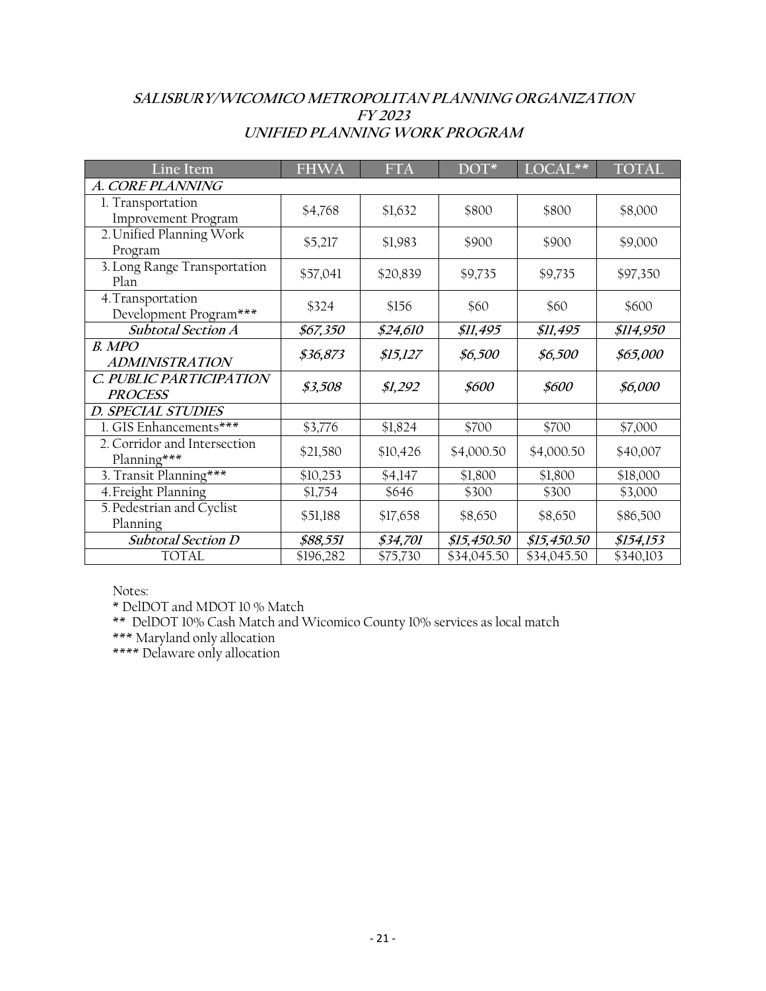## **SALISBURY/WICOMICO METROPOLITAN PLANNING ORGANIZATION FY 2023 UNIFIED PLANNING WORK PROGRAM**

| Line Item                                   | <b>FHWA</b> | <b>FTA</b> | DOT*        | LOCAL**                | <b>TOTAL</b> |
|---------------------------------------------|-------------|------------|-------------|------------------------|--------------|
| A. CORE PLANNING                            |             |            |             |                        |              |
| 1. Transportation<br>Improvement Program    | \$4,768     | \$1,632    | \$800       | \$800                  | \$8,000      |
| 2. Unified Planning Work<br>Program         | \$5,217     | \$1,983    | \$900       | \$900                  | \$9,000      |
| 3. Long Range Transportation<br>Plan        | \$57,041    | \$20,839   | \$9,735     | \$9,735                | \$97,350     |
| 4. Transportation<br>Development Program*** | \$324       | \$156      | \$60        | \$60                   | \$600        |
| <b>Subtotal Section A</b>                   | \$67,350    | \$24,610   | \$11,495    | <i><b>\$11,495</b></i> | \$114,950    |
| B. MPO<br><b>ADMINISTRATION</b>             | \$36,873    | \$15,127   | \$6,500     | \$6,500                | \$65,000     |
| C. PUBLIC PARTICIPATION<br><b>PROCESS</b>   | \$3,508     | \$1,292    | \$600       | \$600                  | \$6,000      |
| <b>D. SPECIAL STUDIES</b>                   |             |            |             |                        |              |
| 1. GIS Enhancements***                      | \$3,776     | \$1,824    | \$700       | \$700                  | \$7,000      |
| 2. Corridor and Intersection<br>Planning*** | \$21,580    | \$10,426   | \$4,000.50  | \$4,000.50             | \$40,007     |
| 3. Transit Planning***                      | \$10,253    | \$4,147    | \$1,800     | \$1,800                | \$18,000     |
| 4. Freight Planning                         | \$1,754     | \$646      | \$300       | \$300                  | \$3,000      |
| 5. Pedestrian and Cyclist<br>Planning       | \$51,188    | \$17,658   | \$8,650     | \$8,650                | \$86,500     |
| <b>Subtotal Section D</b>                   | \$88,551    | \$34,701   | \$15,450.50 | \$15,450.50            | \$154,153    |
| <b>TOTAL</b>                                | \$196,282   | \$75,730   | \$34,045.50 | \$34,045.50            | \$340,103    |

Notes:

\* DelDOT and MDOT 10 % Match

\*\* DelDOT 10% Cash Match and Wicomico County 10% services as local match

\*\*\* Maryland only allocation

\*\*\*\* Delaware only allocation